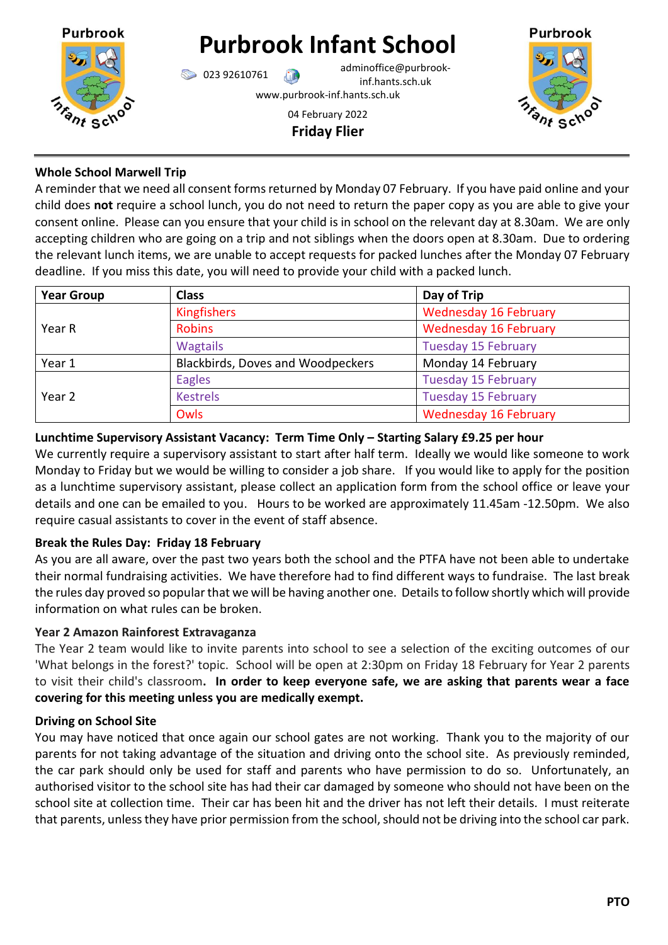

# **Purbrook Infant School**

023 92610761 adminoffice@purbrookinf.hants.sch.uk

www.purbrook-inf.hants.sch.uk

#### 04 February 2022 **Friday Flier**



## **Whole School Marwell Trip**

A reminder that we need all consent forms returned by Monday 07 February. If you have paid online and your child does **not** require a school lunch, you do not need to return the paper copy as you are able to give your consent online. Please can you ensure that your child is in school on the relevant day at 8.30am. We are only accepting children who are going on a trip and not siblings when the doors open at 8.30am. Due to ordering the relevant lunch items, we are unable to accept requests for packed lunches after the Monday 07 February deadline. If you miss this date, you will need to provide your child with a packed lunch.

| <b>Year Group</b> | <b>Class</b>                             | Day of Trip                  |
|-------------------|------------------------------------------|------------------------------|
| Year R            | <b>Kingfishers</b>                       | <b>Wednesday 16 February</b> |
|                   | <b>Robins</b>                            | <b>Wednesday 16 February</b> |
|                   | <b>Wagtails</b>                          | <b>Tuesday 15 February</b>   |
| Year 1            | <b>Blackbirds, Doves and Woodpeckers</b> | Monday 14 February           |
| Year 2            | Eagles                                   | <b>Tuesday 15 February</b>   |
|                   | <b>Kestrels</b>                          | <b>Tuesday 15 February</b>   |
|                   | Owls                                     | <b>Wednesday 16 February</b> |

## **Lunchtime Supervisory Assistant Vacancy: Term Time Only – Starting Salary £9.25 per hour**

We currently require a supervisory assistant to start after half term. Ideally we would like someone to work Monday to Friday but we would be willing to consider a job share. If you would like to apply for the position as a lunchtime supervisory assistant, please collect an application form from the school office or leave your details and one can be emailed to you. Hours to be worked are approximately 11.45am -12.50pm. We also require casual assistants to cover in the event of staff absence.

## **Break the Rules Day: Friday 18 February**

As you are all aware, over the past two years both the school and the PTFA have not been able to undertake their normal fundraising activities. We have therefore had to find different ways to fundraise. The last break the rules day proved so popular that we will be having another one. Details to follow shortly which will provide information on what rules can be broken.

## **Year 2 Amazon Rainforest Extravaganza**

The Year 2 team would like to invite parents into school to see a selection of the exciting outcomes of our 'What belongs in the forest?' topic. School will be open at 2:30pm on Friday 18 February for Year 2 parents to visit their child's classroom**. In order to keep everyone safe, we are asking that parents wear a face covering for this meeting unless you are medically exempt.**

## **Driving on School Site**

You may have noticed that once again our school gates are not working. Thank you to the majority of our parents for not taking advantage of the situation and driving onto the school site. As previously reminded, the car park should only be used for staff and parents who have permission to do so. Unfortunately, an authorised visitor to the school site has had their car damaged by someone who should not have been on the school site at collection time. Their car has been hit and the driver has not left their details. I must reiterate that parents, unless they have prior permission from the school, should not be driving into the school car park.